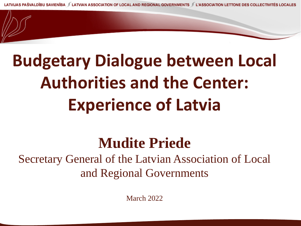## **Budgetary Dialogue between Local Authorities and the Center: Experience of Latvia**

#### **Mudite Priede**

Secretary General of the Latvian Association of Local and Regional Governments

March 2022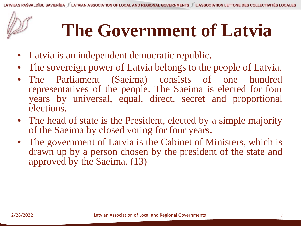# **The Government of Latvia**

- Latvia is an independent democratic republic.
- The sovereign power of Latvia belongs to the people of Latvia.
- The Parliament (Saeima) consists of one hundred representatives of the people. The Saeima is elected for four years by universal, equal, direct, secret and proportional elections.
- The head of state is the President, elected by a simple majority of the Saeima by closed voting for four years.
- The government of Latvia is the Cabinet of Ministers, which is drawn up by a person chosen by the president of the state and approved by the Saeima. (13)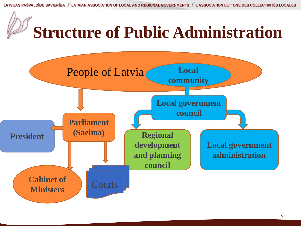

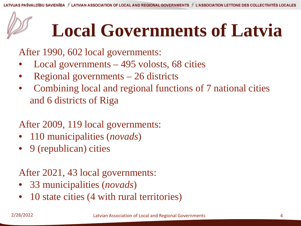# **Local Governments of Latvia**

After 1990, 602 local governments:

- Local governments  $-495$  volosts, 68 cities
- Regional governments 26 districts
- Combining local and regional functions of 7 national cities and 6 districts of Riga

#### After 2009, 119 local governments:

- 110 municipalities (*novads*)
- 9 (republican) cities

#### After 2021, 43 local governments:

- 33 municipalities (*novads*)
- 10 state cities (4 with rural territories)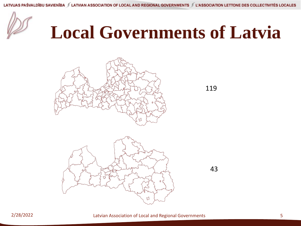

# **Local Governments of Latvia**



119

43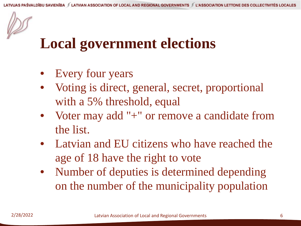#### **Local government elections**

- Every four years
- Voting is direct, general, secret, proportional with a 5% threshold, equal
- Voter may add "+" or remove a candidate from the list.
- Latvian and EU citizens who have reached the age of 18 have the right to vote
- Number of deputies is determined depending on the number of the municipality population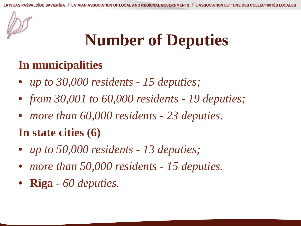#### **Number of Deputies**

#### **In municipalities**

- *up to 30,000 residents - 15 deputies;*
- *from 30,001 to 60,000 residents - 19 deputies;*
- *more than 60,000 residents - 23 deputies.*
- **In state cities (6)**
- *up to 50,000 residents - 13 deputies;*
- *more than 50,000 residents - 15 deputies.*
- **Riga** *- 60 deputies.*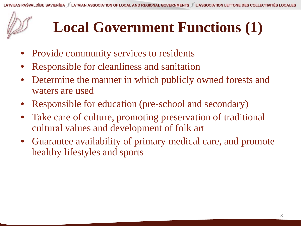#### **Local Government Functions (1)**

- Provide community services to residents
- Responsible for cleanliness and sanitation
- Determine the manner in which publicly owned forests and waters are used
- Responsible for education (pre-school and secondary)
- Take care of culture, promoting preservation of traditional cultural values and development of folk art
- Guarantee availability of primary medical care, and promote healthy lifestyles and sports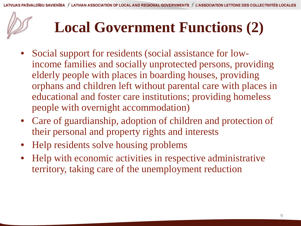#### **Local Government Functions (2)**

- Social support for residents (social assistance for lowincome families and socially unprotected persons, providing elderly people with places in boarding houses, providing orphans and children left without parental care with places in educational and foster care institutions; providing homeless people with overnight accommodation)
- Care of guardianship, adoption of children and protection of their personal and property rights and interests
- Help residents solve housing problems
- Help with economic activities in respective administrative territory, taking care of the unemployment reduction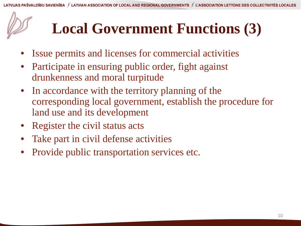#### **Local Government Functions (3)**

- Issue permits and licenses for commercial activities
- Participate in ensuring public order, fight against drunkenness and moral turpitude
- In accordance with the territory planning of the corresponding local government, establish the procedure for land use and its development
- Register the civil status acts
- Take part in civil defense activities
- Provide public transportation services etc.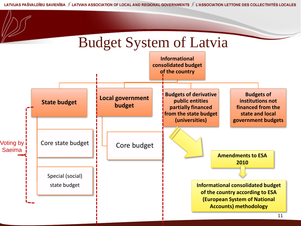LATVIJAS PAŠVALDĪBU SAVIENĪBA JE LATVIAN ASSOCIATION OF LOCAL AND REGIONAL GOVERNMENTS JE ASSOCIATION LETTONE DES COLLECTIVITÉS LOCALES

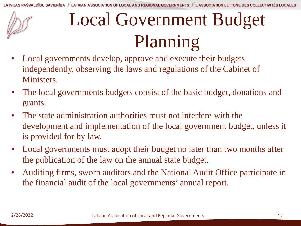# Local Government Budget Planning

- Local governments develop, approve and execute their budgets independently, observing the laws and regulations of the Cabinet of Ministers.
- The local governments budgets consist of the basic budget, donations and grants.
- The state administration authorities must not interfere with the development and implementation of the local government budget, unless it is provided for by law.
- Local governments must adopt their budget no later than two months after the publication of the law on the annual state budget.
- Auditing firms, sworn auditors and the National Audit Office participate in the financial audit of the local governments' annual report.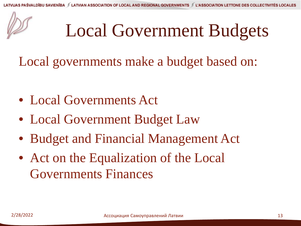## Local Government Budgets

Local governments make a budget based on:

- Local Governments Act
- Local Government Budget Law
- Budget and Financial Management Act
- Act on the Equalization of the Local Governments Finances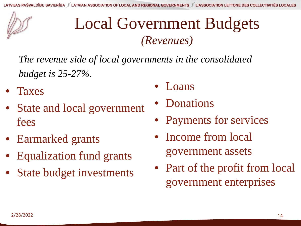#### Local Government Budgets *(Revenues)*

*The revenue side of local governments in the consolidated budget is 25-27%.*

- Taxes
- State and local government fees
- Earmarked grants
- Equalization fund grants
- **State budget investments**
- Loans
- Donations
- Payments for services
- Income from local government assets
- Part of the profit from local government enterprises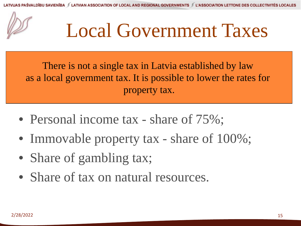

# Local Government Taxes

There is not a single tax in Latvia established by law as a local government tax. It is possible to lower the rates for property tax.

- Personal income tax share of  $75\%$ ;
- Immovable property tax share of  $100\%$ ;
- Share of gambling tax;
- Share of tax on natural resources.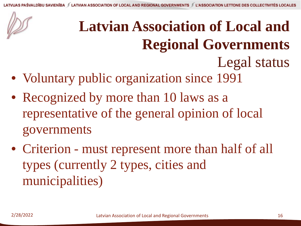### **Latvian Association of Local and Regional Governments** Legal status

- Voluntary public organization since 1991
- Recognized by more than 10 laws as a representative of the general opinion of local governments
- Criterion must represent more than half of all types (currently 2 types, cities and municipalities)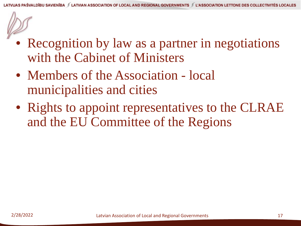- Recognition by law as a partner in negotiations with the Cabinet of Ministers
- Members of the Association local municipalities and cities
- Rights to appoint representatives to the CLRAE and the EU Committee of the Regions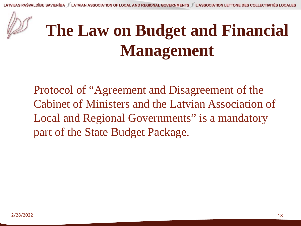

### **The Law on Budget and Financial Management**

Protocol of "Agreement and Disagreement of the Cabinet of Ministers and the Latvian Association of Local and Regional Governments" is a mandatory part of the State Budget Package.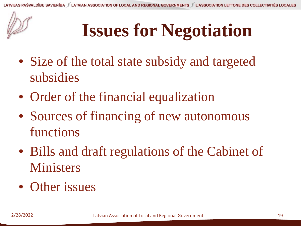# **Issues for Negotiation**

- Size of the total state subsidy and targeted subsidies
- Order of the financial equalization
- Sources of financing of new autonomous functions
- Bills and draft regulations of the Cabinet of Ministers
- Other issues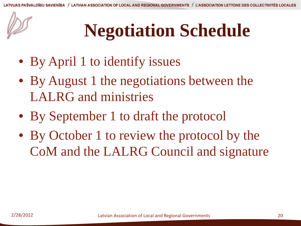# **Negotiation Schedule**

- By April 1 to identify issues
- By August 1 the negotiations between the LALRG and ministries
- By September 1 to draft the protocol
- By October 1 to review the protocol by the CoM and the LALRG Council and signature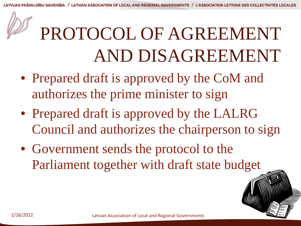

# PROTOCOL OF AGREEMENT AND DISAGREEMENT

- Prepared draft is approved by the CoM and authorizes the prime minister to sign
- Prepared draft is approved by the LALRG Council and authorizes the chairperson to sign
- Government sends the protocol to the Parliament together with draft state budget



 $\hat{=}$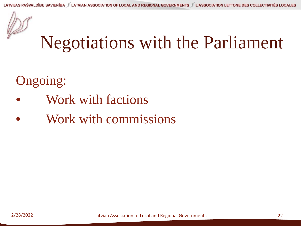

### Negotiations with the Parliament

#### Ongoing:

- Work with factions
- Work with commissions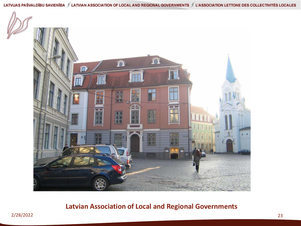

#### **Latvian Association of Local and Regional Governments**

2/28/2022